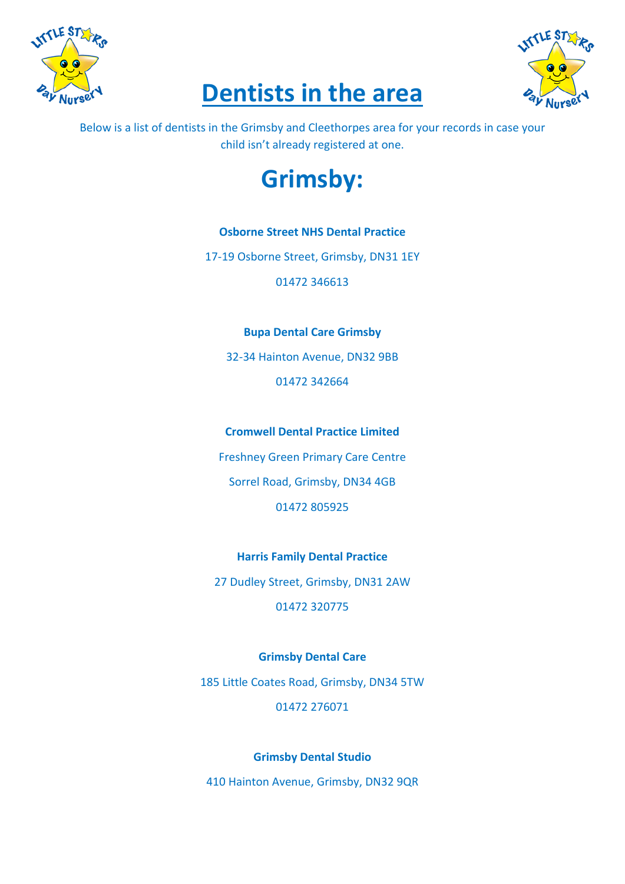





Below is a list of dentists in the Grimsby and Cleethorpes area for your records in case your child isn't already registered at one.

# **Grimsby:**

## **Osborne Street NHS Dental Practice**

17-19 Osborne Street, Grimsby, DN31 1EY

01472 346613

## **Bupa Dental Care Grimsby**

32-34 Hainton Avenue, DN32 9BB 01472 342664

**Cromwell Dental Practice Limited**

Freshney Green Primary Care Centre Sorrel Road, Grimsby, DN34 4GB 01472 805925

**Harris Family Dental Practice** 27 Dudley Street, Grimsby, DN31 2AW 01472 320775

**Grimsby Dental Care**

185 Little Coates Road, Grimsby, DN34 5TW 01472 276071

## **Grimsby Dental Studio**

410 Hainton Avenue, Grimsby, DN32 9QR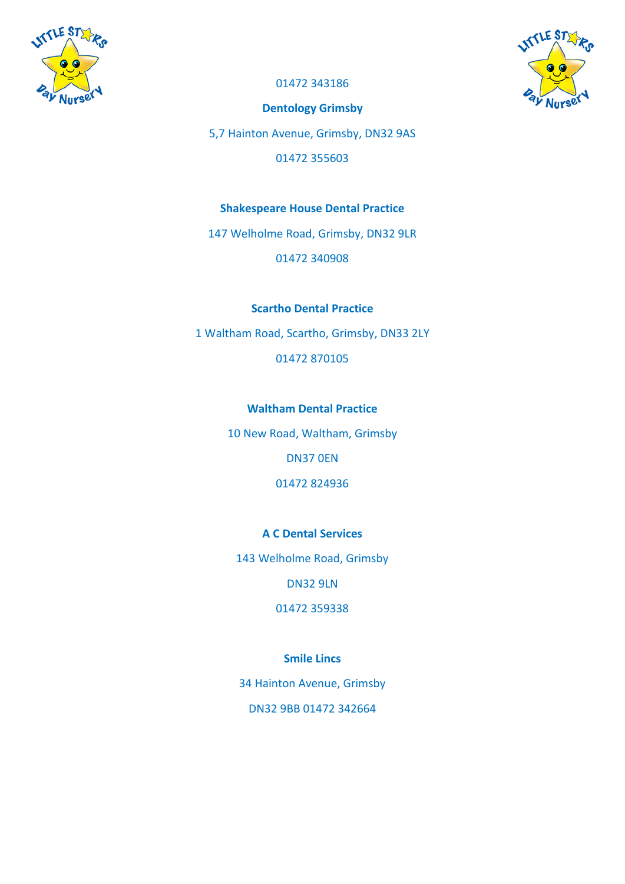



01472 343186

**Dentology Grimsby**

5,7 Hainton Avenue, Grimsby, DN32 9AS

01472 355603

## **Shakespeare House Dental Practice**

147 Welholme Road, Grimsby, DN32 9LR

01472 340908

### **Scartho Dental Practice**

1 Waltham Road, Scartho, Grimsby, DN33 2LY

01472 870105

### **Waltham Dental Practice**

10 New Road, Waltham, Grimsby

DN37 0EN

01472 824936

## **A C Dental Services**

143 Welholme Road, Grimsby

DN32 9LN

01472 359338

## **Smile Lincs**

34 Hainton Avenue, Grimsby DN32 9BB 01472 342664